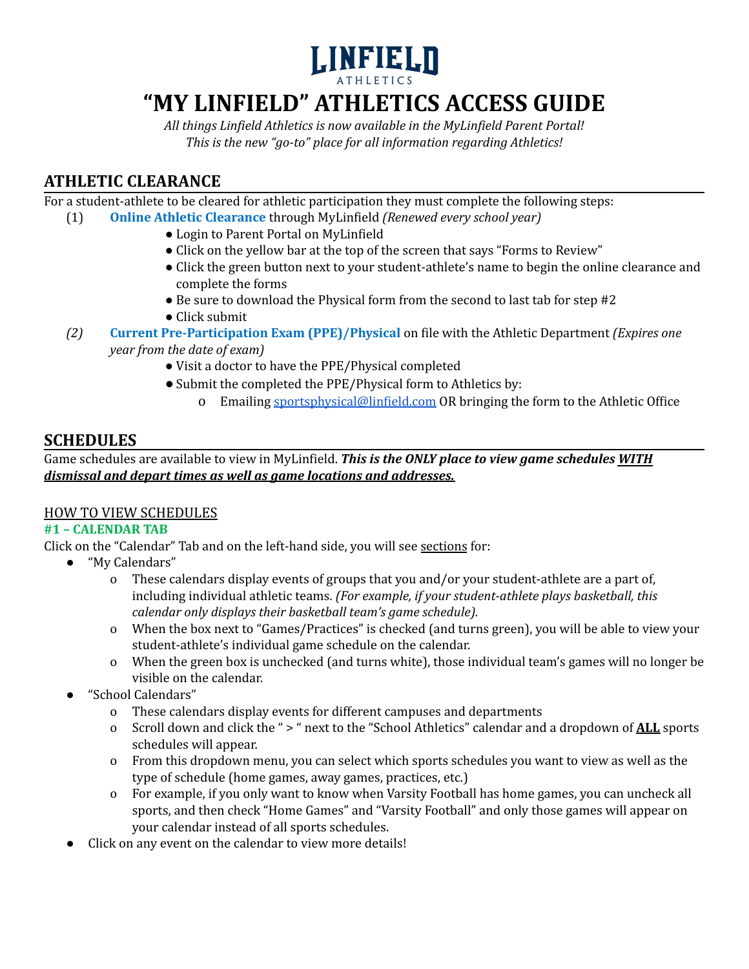

# **"MY LINFIELD" ATHLETICS ACCESS GUIDE**

*All things Linfield Athletics is now available in the MyLinfield Parent Portal! This is the new "go-to" place for all information regarding Athletics!*

## **ATHLETIC CLEARANCE**

For a student-athlete to be cleared for athletic participation they must complete the following steps:

- (1) **Online Athletic Clearance** through MyLinfield *(Renewed every school year)*
	- Login to Parent Portal on MyLinfield
	- Click on the yellow bar at the top of the screen that says "Forms to Review"
	- Click the green button next to your student-athlete's name to begin the online clearance and complete the forms
	- Be sure to download the Physical form from the second to last tab for step #2
	- Click submit
- *(2)* **Current Pre-Participation Exam (PPE)/Physical** on file with the Athletic Department *(Expires one year from the date of exam)*
	- Visit a doctor to have the PPE/Physical completed
	- ●Submit the completed the PPE/Physical form to Athletics by:
		- o Emailing [sportsphysical@linfield.com](mailto:sportsphysical@linfield.com) OR bringing the form to the Athletic Office

## **SCHEDULES**

Game schedules are available to view in MyLinfield. *This is the ONLY place to view game schedules WITH dismissal and depart times as well as game locations and addresses.*

### HOW TO VIEW SCHEDULES

#### **#1 – CALENDAR TAB**

Click on the "Calendar" Tab and on the left-hand side, you will see sections for:

- "My Calendars"
	- o These calendars display events of groups that you and/or your student-athlete are a part of, including individual athletic teams. *(For example, if your student-athlete plays basketball, this calendar only displays their basketball team's game schedule).*
	- o When the box next to "Games/Practices" is checked (and turns green), you will be able to view your student-athlete's individual game schedule on the calendar.
	- o When the green box is unchecked (and turns white), those individual team's games will no longer be visible on the calendar.
- "School Calendars"
	- o These calendars display events for different campuses and departments
	- o Scroll down and click the " > " next to the "School Athletics" calendar and a dropdown of **ALL** sports schedules will appear.
	- o From this dropdown menu, you can select which sports schedules you want to view as well as the type of schedule (home games, away games, practices, etc.)
	- o For example, if you only want to know when Varsity Football has home games, you can uncheck all sports, and then check "Home Games" and "Varsity Football" and only those games will appear on your calendar instead of all sports schedules.
- Click on any event on the calendar to view more details!